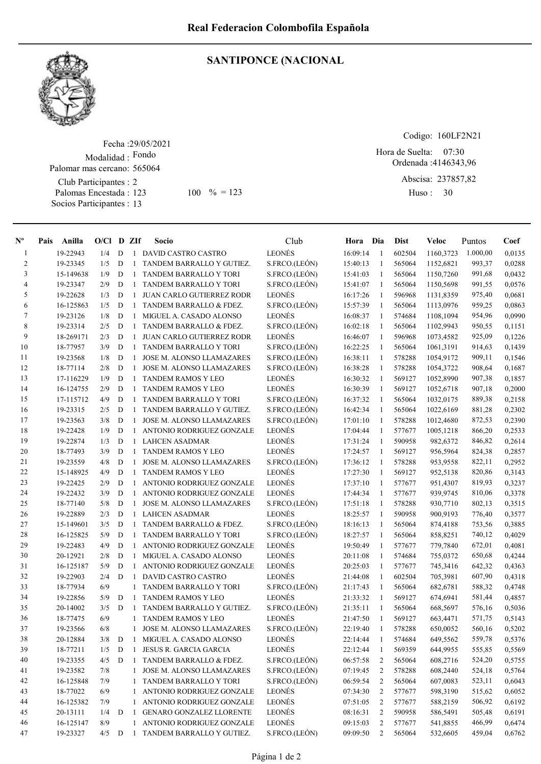

## SANTIPONCE (NACIONAL

Fecha : 29/05/2021 Modalidad : Fondo Club Participantes : 2 Palomas Encestada : Socios Participantes : 13 Palomar mas cercano: 565064 123 100 % = 123 Huso: 30

Codigo: 160LF2N21

Ordenada : 4146343,96 Abscisa: 237857,82 Hora de Suelta: 07:30

Huso: 30

| $N^{\text{o}}$ | Pais | Anilla    | $O/Cl$ D ZIf    |             |                | Socio                            | Club          | Hora Dia |                | Dist   | Veloc     | Puntos   | Coef   |
|----------------|------|-----------|-----------------|-------------|----------------|----------------------------------|---------------|----------|----------------|--------|-----------|----------|--------|
| -1             |      | 19-22943  | 1/4             | D           | -1             | DAVID CASTRO CASTRO              | LEONÉS        | 16:09:14 | -1             | 602504 | 1160,3723 | 1.000,00 | 0,0135 |
| 2              |      | 19-23345  | 1/5             | D           | 1              | TANDEM BARRALLO Y GUTIEZ.        | S.FRCO.(LEÓN) | 15:40:13 | -1             | 565064 | 1152,6821 | 993,37   | 0,0288 |
| 3              |      | 15-149638 | 1/9             | D           | $\overline{1}$ | TANDEM BARRALLO Y TORI           | S.FRCO.(LEÓN) | 15:41:03 | -1             | 565064 | 1150,7260 | 991,68   | 0,0432 |
| 4              |      | 19-23347  | 2/9             | D           | $\mathbf{1}$   | TANDEM BARRALLO Y TORI           | S.FRCO.(LEÓN) | 15:41:07 | -1             | 565064 | 1150,5698 | 991,55   | 0,0576 |
| 5              |      | 19-22628  | 1/3             | D           | -1             | <b>JUAN CARLO GUTIERREZ RODR</b> | <b>LEONÉS</b> | 16:17:26 | -1             | 596968 | 1131.8359 | 975,40   | 0,0681 |
| 6              |      | 16-125863 | 1/5             | D           | -1             | TANDEM BARRALLO & FDEZ.          | S.FRCO.(LEÓN) | 15:57:39 | -1             | 565064 | 1113,0976 | 959,25   | 0,0863 |
| 7              |      | 19-23126  | 1/8             | D           | 1              | MIGUEL A. CASADO ALONSO          | <b>LEONÉS</b> | 16:08:37 | -1             | 574684 | 1108,1094 | 954,96   | 0,0990 |
| 8              |      | 19-23314  | 2/5             | D           | -1             | TANDEM BARRALLO & FDEZ.          | S.FRCO.(LEÓN) | 16:02:18 | -1             | 565064 | 1102,9943 | 950,55   | 0,1151 |
| 9              |      | 18-269171 | 2/3             | D           | 1              | <b>JUAN CARLO GUTIERREZ RODR</b> | LEONÉS        | 16:46:07 | -1             | 596968 | 1073,4582 | 925,09   | 0,1226 |
| 10             |      | 18-77957  | 3/9             | D           | $\mathbf{1}$   | TANDEM BARRALLO Y TORI           | S.FRCO.(LEÓN) | 16:22:25 | -1             | 565064 | 1061,3191 | 914,63   | 0,1439 |
| 11             |      | 19-23568  | 1/8             | D           | $\mathbf{1}$   | JOSE M. ALONSO LLAMAZARES        | S.FRCO.(LEÓN) | 16:38:11 | -1             | 578288 | 1054,9172 | 909,11   | 0,1546 |
| 12             |      | 18-77114  | 2/8             | D           | $\mathbf{1}$   | <b>JOSE M. ALONSO LLAMAZARES</b> | S.FRCO.(LEÓN) | 16:38:28 | -1             | 578288 | 1054,3722 | 908,64   | 0,1687 |
| 13             |      | 17-116229 | 1/9             | D           | 1              | TANDEM RAMOS Y LEO               | <b>LEONÉS</b> | 16:30:32 | -1             | 569127 | 1052,8990 | 907,38   | 0,1857 |
| 14             |      | 16-124755 | 2/9             | D           | $\overline{1}$ | TANDEM RAMOS Y LEO               | LEONÉS        | 16:30:39 | $\mathbf{1}$   | 569127 | 1052,6718 | 907,18   | 0,2000 |
| 15             |      | 17-115712 | 4/9             | D           | $\overline{1}$ | <b>TANDEM BARRALLO Y TORI</b>    | S.FRCO.(LEÓN) | 16:37:32 | -1             | 565064 | 1032,0175 | 889,38   | 0,2158 |
| 16             |      | 19-23315  | 2/5             | D           | $\mathbf{1}$   | TANDEM BARRALLO Y GUTIEZ.        | S.FRCO.(LEÓN) | 16:42:34 | $\mathbf{1}$   | 565064 | 1022,6169 | 881,28   | 0,2302 |
| 17             |      | 19-23563  | 3/8             | D           | $\mathbf{1}$   | JOSE M. ALONSO LLAMAZARES        | S.FRCO.(LEÓN) | 17:01:10 | -1             | 578288 | 1012,4680 | 872,53   | 0,2390 |
| 18             |      | 19-22428  | 1/9             | D           | 1              | ANTONIO RODRIGUEZ GONZALE        | LEONÉS        | 17:04:44 | -1             | 577677 | 1005,1218 | 866,20   | 0,2533 |
| 19             |      | 19-22874  | 1/3             | D           | $\mathbf{1}$   | <b>LAHCEN ASADMAR</b>            | LEONÉS        | 17:31:24 | 1              | 590958 | 982,6372  | 846,82   | 0,2614 |
| 20             |      | 18-77493  | 3/9             | D           | $\mathbf{1}$   | <b>TANDEM RAMOS Y LEO</b>        | LEONÉS        | 17:24:57 | -1             | 569127 | 956,5964  | 824,38   | 0,2857 |
| 21             |      | 19-23559  | 4/8             | D           | $\mathbf{1}$   | <b>JOSE M. ALONSO LLAMAZARES</b> | S.FRCO.(LEÓN) | 17:36:12 | -1             | 578288 | 953,9558  | 822,11   | 0,2952 |
| 22             |      | 15-148925 | 4/9             | D           | 1              | <b>TANDEM RAMOS Y LEO</b>        | <b>LEONÉS</b> | 17:27:30 | 1              | 569127 | 952,5138  | 820,86   | 0,3143 |
| 23             |      | 19-22425  | 2/9             | D           | $\mathbf{1}$   | ANTONIO RODRIGUEZ GONZALE        | <b>LEONÉS</b> | 17:37:10 | 1              | 577677 | 951,4307  | 819,93   | 0,3237 |
| 24             |      | 19-22432  | 3/9             | D           | $\mathbf{1}$   | <b>ANTONIO RODRIGUEZ GONZALE</b> | <b>LEONÉS</b> | 17:44:34 | 1              | 577677 | 939,9745  | 810,06   | 0,3378 |
| 25             |      | 18-77140  | 5/8             | D           | 1              | JOSE M. ALONSO LLAMAZARES        | S.FRCO.(LEÓN) | 17:51:18 | 1              | 578288 | 930,7710  | 802,13   | 0,3515 |
| 26             |      | 19-22889  | 2/3             | D           | $\mathbf{1}$   | <b>LAHCEN ASADMAR</b>            | LEONÉS        | 18:25:57 | -1             | 590958 | 900,9193  | 776,40   | 0,3577 |
| 27             |      | 15-149601 | 3/5             | D           | 1              | TANDEM BARRALLO & FDEZ.          | S.FRCO.(LEÓN) | 18:16:13 | -1             | 565064 | 874,4188  | 753,56   | 0,3885 |
| 28             |      | 16-125825 | 5/9             | D           | $\mathbf{1}$   | TANDEM BARRALLO Y TORI           | S.FRCO.(LEÓN) | 18:27:57 | 1              | 565064 | 858,8251  | 740,12   | 0,4029 |
| 29             |      | 19-22483  | 4/9             | D           | -1             | ANTONIO RODRIGUEZ GONZALE        | LEONÉS        | 19:50:49 | $\mathbf{1}$   | 577677 | 779,7840  | 672,01   | 0,4081 |
| 30             |      | 20-12921  | 2/8             | D           | 1              | MIGUEL A. CASADO ALONSO          | <b>LEONÉS</b> | 20:11:08 | -1             | 574684 | 755,0372  | 650,68   | 0,4244 |
| 31             |      | 16-125187 | 5/9             | D           | 1              | ANTONIO RODRIGUEZ GONZALE        | <b>LEONÉS</b> | 20:25:03 | 1              | 577677 | 745,3416  | 642,32   | 0,4363 |
| 32             |      | 19-22903  | 2/4             | D           | 1              | DAVID CASTRO CASTRO              | LEONÉS        | 21:44:08 | -1             | 602504 | 705,3981  | 607,90   | 0,4318 |
| 33             |      | 18-77934  | 6/9             |             | 1              | TANDEM BARRALLO Y TORI           | S.FRCO.(LEÓN) | 21:17:43 | -1             | 565064 | 682,6781  | 588,32   | 0,4748 |
| 34             |      | 19-22856  | 5/9             | D           | -1             | <b>TANDEM RAMOS Y LEO</b>        | LEONÉS        | 21:33:32 | -1             | 569127 | 674,6941  | 581,44   | 0,4857 |
| 35             |      | 20-14002  | 3/5             | D           | -1             | TANDEM BARRALLO Y GUTIEZ.        | S.FRCO.(LEÓN) | 21:35:11 | 1              | 565064 | 668,5697  | 576,16   | 0,5036 |
| 36             |      | 18-77475  | 6/9             |             |                | TANDEM RAMOS Y LEO               | LEONÉS        | 21:47:50 | 1              | 569127 | 663,4471  | 571,75   | 0,5143 |
| 37             |      | 19-23566  | 6/8             |             | 1              | JOSE M. ALONSO LLAMAZARES        | S.FRCO.(LEÓN) | 22:19:40 | $\mathbf{1}$   | 578288 | 650,0052  | 560,16   | 0,5202 |
| 38             |      | 20-12884  | $3/8$ $\quad$ D |             | $\mathbf{1}$   | MIGUEL A. CASADO ALONSO          | LEONÉS        | 22:14:44 | $\mathbf{1}$   | 574684 | 649,5562  | 559,78   | 0,5376 |
| 39             |      | 18-77211  | 1/5             | D           | 1              | JESUS R. GARCIA GARCIA           | LEONÉS        | 22:12:44 | 1              | 569359 | 644,9955  | 555,85   | 0,5569 |
| 40             |      | 19-23355  | 4/5             | $\mathbf D$ | -1             | TANDEM BARRALLO & FDEZ.          | S.FRCO.(LEÓN) | 06:57:58 | $\overline{2}$ | 565064 | 608,2716  | 524,20   | 0,5755 |
| 41             |      | 19-23582  | 7/8             |             | $\mathbf{1}$   | JOSE M. ALONSO LLAMAZARES        | S.FRCO.(LEÓN) | 07:19:45 | $\overline{2}$ | 578288 | 608,2440  | 524,18   | 0,5764 |
| 42             |      | 16-125848 | 7/9             |             | $\mathbf{1}$   | TANDEM BARRALLO Y TORI           | S.FRCO.(LEÓN) | 06:59:54 | $\overline{2}$ | 565064 | 607,0083  | 523,11   | 0,6043 |
| 43             |      | 18-77022  | 6/9             |             | 1              | ANTONIO RODRIGUEZ GONZALE        | LEONÉS        | 07:34:30 | $\overline{c}$ | 577677 | 598,3190  | 515,62   | 0,6052 |
| 44             |      | 16-125382 | 7/9             |             | 1              | ANTONIO RODRIGUEZ GONZALE        | LEONÉS        | 07:51:05 | $\overline{2}$ | 577677 | 588,2159  | 506,92   | 0,6192 |
| 45             |      | 20-13111  | 1/4             | $\mathbf D$ | -1             | GENARO GONZALEZ LLORENTE         | LEONÉS        | 08:16:31 | 2              | 590958 | 586,5491  | 505,48   | 0,6191 |
| 46             |      | 16-125147 | 8/9             |             | $\mathbf{1}$   | ANTONIO RODRIGUEZ GONZALE        | LEONÉS        | 09:15:03 | 2              | 577677 | 541,8855  | 466,99   | 0,6474 |
| 47             |      | 19-23327  | $4/5$ D         |             | -1             | TANDEM BARRALLO Y GUTIEZ.        | S.FRCO.(LEÓN) | 09:09:50 | 2              | 565064 | 532,6605  | 459,04   | 0,6762 |
|                |      |           |                 |             |                |                                  |               |          |                |        |           |          |        |